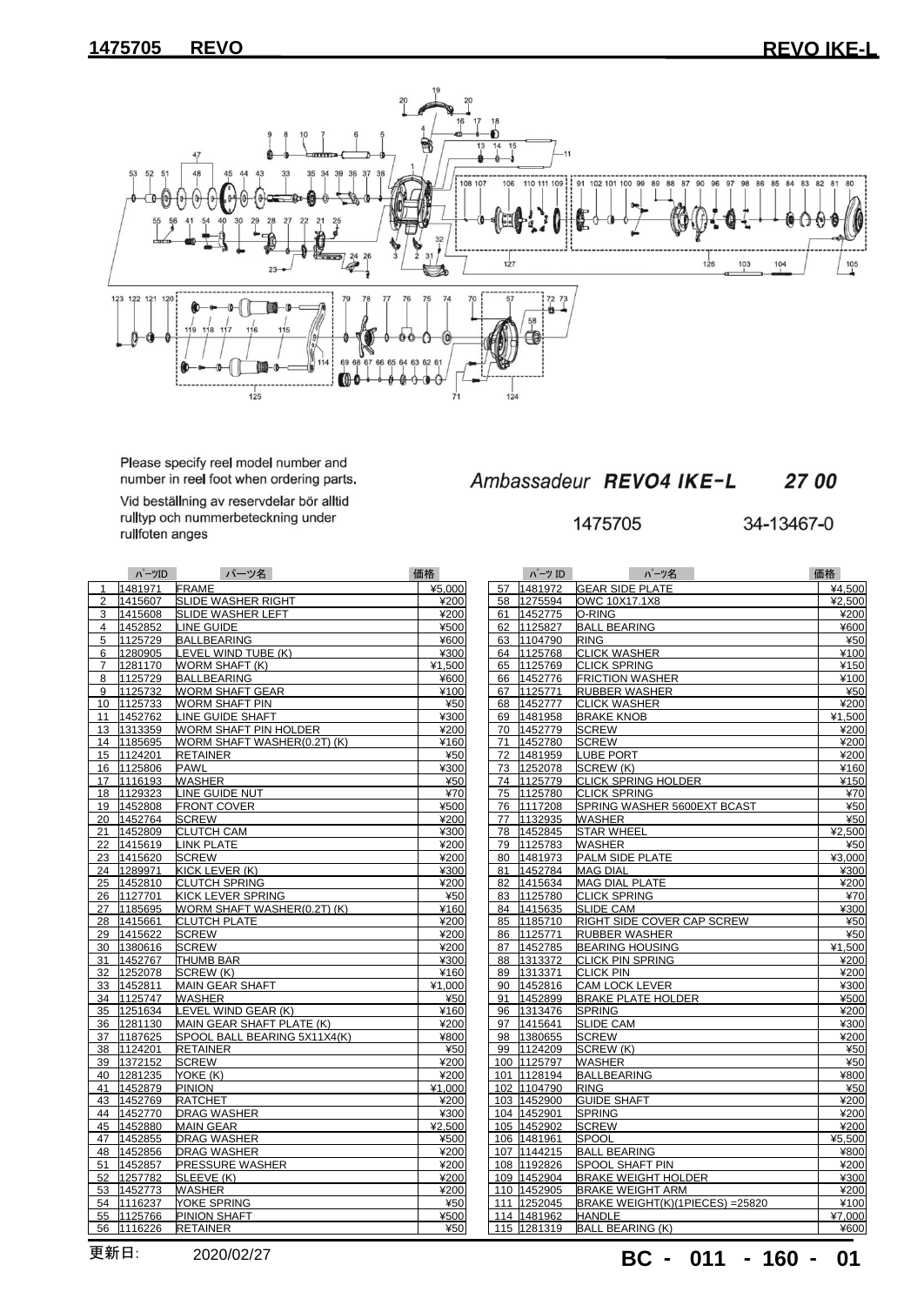

Please specify reel model number and<br>number in reel foot when ordering parts.

Vid beställning av reservdelar bör alltid rulltyp och nummerbeteckning under rullfoten anges

|    | パーツID   | パーツ名                         | 価格     |
|----|---------|------------------------------|--------|
| 1  | 1481971 | FRAME                        | ¥5,000 |
| 2  | 1415607 | SLIDE WASHER RIGHT           | ¥200   |
| 3  | 1415608 | SLIDE WASHER LEFT            | ¥200   |
| 4  | 1452852 | LINE GUIDE                   | ¥500   |
| 5  | 1125729 | <b>BALLBEARING</b>           | ¥600   |
| 6  | 1280905 | LEVEL WIND TUBE (K)          | ¥300   |
| 7  | 1281170 | WORM SHAFT (K)               | ¥1,500 |
| 8  | 1125729 | <b>BALLBEARING</b>           | ¥600   |
| 9  | 1125732 | <b>WORM SHAFT GEAR</b>       | ¥100   |
| 10 | 1125733 | WORM SHAFT PIN               | ¥50    |
| 11 | 1452762 | LINE GUIDE SHAFT             | ¥300   |
| 13 | 1313359 | <b>WORM SHAFT PIN HOLDER</b> | ¥200   |
| 14 | 1185695 | WORM SHAFT WASHER(0.2T) (K)  | ¥160   |
| 15 | 1124201 | RETAINER                     | ¥50    |
| 16 | 1125806 | <b>PAWL</b>                  | ¥300   |
| 17 | 1116193 | <b>WASHER</b>                | ¥50    |
| 18 | 1129323 | LINE GUIDE NUT               | ¥70    |
| 19 | 1452808 | <b>FRONT COVER</b>           | ¥500   |
| 20 | 1452764 | <b>SCREW</b>                 | ¥200   |
| 21 | 1452809 | <b>CLUTCH CAM</b>            | ¥300   |
| 22 | 1415619 | <b>LINK PLATE</b>            | ¥200   |
| 23 | 1415620 | <b>SCREW</b>                 | ¥200   |
| 24 | 1289971 | KICK LEVER (K)               | ¥300   |
| 25 | 1452810 | <b>CLUTCH SPRING</b>         | ¥200   |
| 26 | 1127701 | KICK LEVER SPRING            | ¥50    |
| 27 | 1185695 | WORM SHAFT WASHER(0.2T) (K)  | ¥160   |
| 28 | 1415661 | CLUTCH PLATE                 | ¥200   |
| 29 | 1415622 | <b>SCREW</b>                 | ¥200   |
| 30 | 1380616 | <b>SCREW</b>                 | ¥200   |
| 31 | 1452767 | THUMB BAR                    | ¥300   |
| 32 | 1252078 | SCREW (K)                    | ¥160   |
| 33 | 1452811 | <b>MAIN GEAR SHAFT</b>       | ¥1,000 |
| 34 | 1125747 | WASHER                       | ¥50    |
| 35 | 1251634 | LEVEL WIND GEAR (K)          | ¥160   |
| 36 | 1281130 | MAIN GEAR SHAFT PLATE (K)    | ¥200   |
| 37 | 1187625 | SPOOL BALL BEARING 5X11X4(K) | ¥800   |
| 38 | 1124201 | RETAINER                     | ¥50    |
| 39 | 1372152 | SCREW                        | ¥200   |
| 40 | 1281235 | YOKE (K)                     | ¥200   |
| 41 | 1452879 | <b>PINION</b>                | ¥1,000 |
| 43 | 1452769 | <b>RATCHET</b>               | ¥200   |
| 44 | 1452770 | <b>DRAG WASHER</b>           | ¥300   |
| 45 | 1452880 | <b>MAIN GEAR</b>             | ¥2,500 |
| 47 | 1452855 | <b>DRAG WASHER</b>           | ¥500   |
| 48 | 1452856 | <b>DRAG WASHER</b>           | ¥200   |
| 51 | 1452857 | <b>PRESSURE WASHER</b>       | ¥200   |
| 52 | 1257782 | SLEEVE (K)                   | ¥200   |
| 53 | 1452773 | WASHER                       | ¥200   |
| 54 | 1116237 | YOKE SPRING                  | ¥50    |
| 55 | 1125766 | PINION SHAFT                 | ¥500   |
| 56 | 1116226 | <b>RETAINER</b>              | ¥50    |

## Ambassadeur REVO4 IKE-L

34-13467-0

| バーツID         | パーツ名                         | 価格     |    | パーツ ID      | ハーツ名                             | 価格     |
|---------------|------------------------------|--------|----|-------------|----------------------------------|--------|
| 1971          | <b>FRAME</b>                 | ¥5,000 |    | 57 1481972  | <b>GEAR SIDE PLATE</b>           | ¥4,500 |
| 5607          | SLIDE WASHER RIGHT           | ¥200   |    | 58 1275594  | OWC 10X17.1X8                    | ¥2,500 |
| 5608          | <b>SLIDE WASHER LEFT</b>     | ¥200   |    | 61 1452775  | O-RING                           | ¥200   |
| 2852          | <b>LINE GUIDE</b>            | ¥500   |    | 62 1125827  | <b>BALL BEARING</b>              | ¥600   |
| :5729         | <b>BALLBEARING</b>           | ¥600   |    | 63 1104790  | <b>RING</b>                      | ¥50    |
| 80905         | LEVEL WIND TUBE (K)          | ¥300   |    | 64 1125768  | <b>CLICK WASHER</b>              | ¥100   |
| 31170         | WORM SHAFT (K)               | ¥1,500 |    | 65 1125769  | <b>CLICK SPRING</b>              | ¥150   |
| :5729         | <b>BALLBEARING</b>           | ¥600   |    | 66 1452776  | <b>FRICTION WASHER</b>           | ¥100   |
| :5732         | <b>WORM SHAFT GEAR</b>       | ¥100   |    | 67 1125771  | <b>RUBBER WASHER</b>             | ¥50    |
| :5733         | <b>WORM SHAFT PIN</b>        | ¥50    |    | 68 1452777  | <b>CLICK WASHER</b>              | ¥200   |
| 2762          | LINE GUIDE SHAFT             | ¥300   |    | 69 1481958  | <b>BRAKE KNOB</b>                | ¥1,500 |
| 3359          | WORM SHAFT PIN HOLDER        | ¥200   |    | 70 1452779  | <b>SCREW</b>                     | ¥200   |
| 85695         | WORM SHAFT WASHER(0.2T) (K)  | ¥160   | 71 | 1452780     | <b>SCREW</b>                     | ¥200   |
| 4201          | <b>RETAINER</b>              | ¥50    |    | 72 1481959  | <b>LUBE PORT</b>                 | ¥200   |
| 15806         | <b>PAWL</b>                  | ¥300   | 73 | 1252078     | SCREW (K)                        | ¥160   |
| 6193          | WASHER                       | ¥50    | 74 | 1125779     | <b>CLICK SPRING HOLDER</b>       | ¥150   |
| 29323         | LINE GUIDE NUT               | ¥70    |    | 75 1125780  | <b>CLICK SPRING</b>              | ¥70    |
| 2808ء         | <b>FRONT COVER</b>           | ¥500   |    | 76 1117208  | SPRING WASHER 5600EXT BCAST      | ¥50    |
| 2764          | <b>SCREW</b>                 | ¥200   | 77 | 1132935     | WASHER                           | ¥50    |
| 2809          | <b>CLUTCH CAM</b>            | ¥300   | 78 | 1452845     | <b>STAR WHEEL</b>                | ¥2,500 |
| 5619          | <b>LINK PLATE</b>            | ¥200   |    | 79 1125783  | <b>WASHER</b>                    | ¥50    |
| 5620          | <b>SCREW</b>                 | ¥200   | 80 | 1481973     | <b>PALM SIDE PLATE</b>           | ¥3,000 |
| 19971         | KICK LEVER (K)               | ¥300   |    | 81 1452784  | <b>MAG DIAL</b>                  | ¥300   |
| 2810ء         | <b>CLUTCH SPRING</b>         | ¥200   |    | 82 1415634  | <b>MAG DIAL PLATE</b>            | ¥200   |
| 27701         | KICK LEVER SPRING            | ¥50    |    | 83 1125780  | <b>CLICK SPRING</b>              | ¥70    |
| 85695         | WORM SHAFT WASHER(0.2T) (K)  | ¥160   |    | 84 1415635  | <b>SLIDE CAM</b>                 | ¥300   |
| 5661          | <b>CLUTCH PLATE</b>          | ¥200   |    | 85 1185710  | RIGHT SIDE COVER CAP SCREW       | ¥50    |
| 5622          | <b>SCREW</b>                 | ¥200   |    | 86 1125771  | <b>RUBBER WASHER</b>             | ¥50    |
| 80616         | <b>SCREW</b>                 | ¥200   |    | 87 1452785  | <b>BEARING HOUSING</b>           | ¥1,500 |
| 2767          | <b>THUMB BAR</b>             | ¥300   |    | 88 1313372  | <b>CLICK PIN SPRING</b>          | ¥200   |
| 2078ء         | SCREW (K)                    | ¥160   |    | 89 1313371  | <b>CLICK PIN</b>                 | ¥200   |
| 2811ء         | <b>MAIN GEAR SHAFT</b>       | ¥1,000 | 90 | 1452816     | <b>CAM LOCK LEVER</b>            | ¥300   |
| :5747         | <b>WASHER</b>                | ¥50    |    | 91 1452899  | <b>BRAKE PLATE HOLDER</b>        | ¥500   |
| 1634ء         | LEVEL WIND GEAR (K)          | ¥160   | 96 | 1313476     | <b>SPRING</b>                    | ¥200   |
| 1130          | MAIN GEAR SHAFT PLATE (K)    | ¥200   |    | 97 1415641  | <b>SLIDE CAM</b>                 | ¥300   |
| 37625         | SPOOL BALL BEARING 5X11X4(K) | ¥800   |    | 98 1380655  | <b>SCREW</b>                     | ¥200   |
| :4201         | <b>RETAINER</b>              | ¥50    |    | 99 1124209  | SCREW (K)                        | ¥50    |
| 2152          | <b>SCREW</b>                 | ¥200   |    | 100 1125797 | <b>WASHER</b>                    | ¥50    |
| 1235          | YOKE (K)                     | ¥200   |    | 101 1128194 | BALLBEARING                      | ¥800   |
| 2879          | <b>PINION</b>                | ¥1,000 |    | 102 1104790 | <b>RING</b>                      | ¥50    |
| 2769          | <b>RATCHET</b>               | ¥200   |    | 103 1452900 | <b>GUIDE SHAFT</b>               | ¥200   |
|               | DRAG WASHER                  | ¥300   |    | 104 1452901 | <b>SPRING</b>                    | ¥200   |
| 2770<br>2880ء | <b>MAIN GEAR</b>             | ¥2,500 |    | 105 1452902 | <b>SCREW</b>                     | ¥200   |
|               | <b>DRAG WASHER</b>           | ¥500   |    | 106 1481961 | <b>SPOOL</b>                     | ¥5,500 |
| 2855;         |                              | ¥200   |    | 107 1144215 | <b>BALL BEARING</b>              |        |
| 2856          | <b>DRAG WASHER</b>           |        |    |             |                                  | ¥800   |
| 2857          | <b>PRESSURE WASHER</b>       | ¥200   |    | 108 1192826 | <b>SPOOL SHAFT PIN</b>           | ¥200   |
| 7782          | SLEEVE (K)                   | ¥200   |    | 109 1452904 | <b>BRAKE WEIGHT HOLDER</b>       | ¥300   |
| 2773          | <b>WASHER</b>                | ¥200   |    | 110 1452905 | <b>BRAKE WEIGHT ARM</b>          | ¥200   |
| 6237          | YOKE SPRING                  | ¥50    |    | 111 1252045 | BRAKE WEIGHT(K)(1PIECES) = 25820 | ¥100   |
| :5766         | <b>PINION SHAFT</b>          | ¥500   |    | 114 1481962 | <b>HANDLE</b>                    | ¥7.000 |
| 6226          | <b>RETAINER</b>              | ¥50    |    | 115 1281319 | BALL BEARING (K)                 | ¥600   |

更新日: **BC - 011 - 160 -** 2020/02/27 **01**